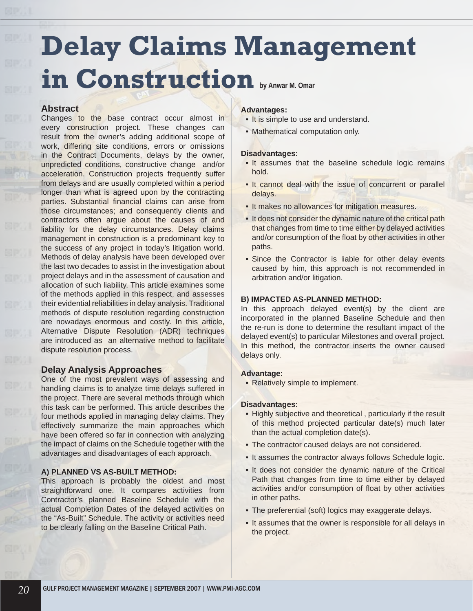# **Delay Claims Management in Construction by Anwar M. Omar**

### **Abstract**

Changes to the base contract occur almost in every construction project. These changes can result from the owner's adding additional scope of work, differing site conditions, errors or omissions in the Contract Documents, delays by the owner, unpredicted conditions, constructive change and/or acceleration. Construction projects frequently suffer from delays and are usually completed within a period longer than what is agreed upon by the contracting parties. Substantial financial claims can arise from those circumstances; and consequently clients and contractors often argue about the causes of and liability for the delay circumstances. Delay claims management in construction is a predominant key to the success of any project in today's litigation world. Methods of delay analysis have been developed over the last two decades to assist in the investigation about project delays and in the assessment of causation and allocation of such liability. This article examines some of the methods applied in this respect, and assesses their evidential reliabilities in delay analysis. Traditional methods of dispute resolution regarding construction are nowadays enormous and costly. In this article, Alternative Dispute Resolution (ADR) techniques are introduced as an alternative method to facilitate dispute resolution process.

## **Delay Analysis Approaches**

One of the most prevalent ways of assessing and handling claims is to analyze time delays suffered in the project. There are several methods through which this task can be performed. This article describes the four methods applied in managing delay claims. They effectively summarize the main approaches which have been offered so far in connection with analyzing the impact of claims on the Schedule together with the advantages and disadvantages of each approach.

#### **A) PLANNED VS AS-BUILT METHOD:**

This approach is probably the oldest and most straightforward one. It compares activities from Contractor's planned Baseline Schedule with the actual Completion Dates of the delayed activities on the "As-Built" Schedule. The activity or activities need to be clearly falling on the Baseline Critical Path.

#### **Advantages:**

- **•** It is simple to use and understand.
- Mathematical computation only. **•**

#### **Disadvantages:**

- It assumes that the baseline schedule logic remains hold.
- **•** It cannot deal with the issue of concurrent or parallel delays.
- **•** It makes no allowances for mitigation measures.
- **•** It does not consider the dynamic nature of the critical path that changes from time to time either by delayed activities and/or consumption of the float by other activities in other paths.
- Since the Contractor is liable for other delay events **•** caused by him, this approach is not recommended in arbitration and/or litigation.

#### **B) IMPACTED AS-PLANNED METHOD:**

In this approach delayed event(s) by the client are incorporated in the planned Baseline Schedule and then the re-run is done to determine the resultant impact of the delayed event(s) to particular Milestones and overall project. In this method, the contractor inserts the owner caused delays only.

#### **Advantage:**

Relatively simple to implement. **•**

#### **Disadvantages:**

- **•** Highly subjective and theoretical, particularly if the result of this method projected particular date(s) much later than the actual completion date(s).
- The contractor caused delays are not considered. **•**
- It assumes the contractor always follows Schedule logic.
- It does not consider the dynamic nature of the Critical Path that changes from time to time either by delayed activities and/or consumption of float by other activities in other paths.
- The preferential (soft) logics may exaggerate delays. **•**
- It assumes that the owner is responsible for all delays in the project.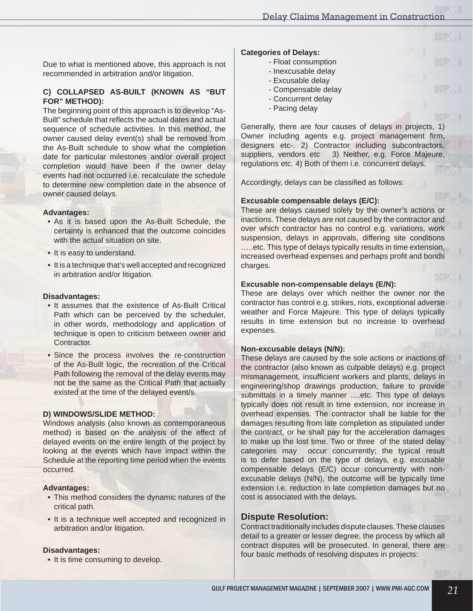Due to what is mentioned above, this approach is not recommended in arbitration and/or litigation.

#### **C) COLLAPSED AS-BUILT (KNOWN AS "BUT FOR" METHOD):**

The beginning point of this approach is to develop "As-Built" schedule that reflects the actual dates and actual sequence of schedule activities. In this method, the owner caused delay event(s) shall be removed from the As-Built schedule to show what the completion date for particular milestones and/or overall project completion would have been if the owner delay events had not occurred i.e. recalculate the schedule to determine new completion date in the absence of owner caused delays.

#### **Advantages:**

- As it is based upon the As-Built Schedule, the **•** certainty is enhanced that the outcome coincides with the actual situation on site.
- It is easy to understand.
- It is a technique that's well accepted and recognized **•** in arbitration and/or litigation.

#### **Disadvantages:**

- It assumes that the existence of As-Built Critical Path which can be perceived by the scheduler, in other words, methodology and application of technique is open to criticism between owner and Contractor.
- Since the process involves the re-construction **•** of the As-Built logic, the recreation of the Critical Path following the removal of the delay events may not be the same as the Critical Path that actually existed at the time of the delayed event/s.

#### **D) WINDOWS/SLIDE METHOD:**

Windows analysis (also known as contemporaneous method) is based on the analysis of the effect of delayed events on the entire length of the project by looking at the events which have impact within the Schedule at the reporting time period when the events occurred.

#### **Advantages:**

**∶** 

- This method considers the dynamic natures of the **•** critical path.
- It is a technique well accepted and recognized in arbitration and/or litigation.

#### **Disadvantages:**

**•** It is time consuming to develop.

#### **Categories of Delays:**

- Float consumption
- Inexcusable delay
- Excusable delay
- Compensable delay
- Concurrent delay
- Pacing delay

Generally, there are four causes of delays in projects, 1) Owner including agents e.g. project management firm, designers etc-. 2) Contractor including subcontractors, suppliers, vendors etc 3) Neither, e.g. Force Majeure, regulations etc. 4) Both of them i.e. concurrent delays.

Accordingly, delays can be classified as follows:

#### **Excusable compensable delays (E/C):**

These are delays caused solely by the owner's actions or inactions. These delays are not caused by the contractor and over which contractor has no control e.g. variations, work suspension, delays in approvals, differing site conditions .....etc. This type of delays typically results in time extension, increased overhead expenses and perhaps profit and bonds charges.

#### **Excusable non-compensable delays (E/N):**

These are delays over which neither the owner nor the contractor has control e.g. strikes, riots, exceptional adverse weather and Force Majeure. This type of delays typically results in time extension but no increase to overhead expenses.

#### **Non-excusable delays (N/N):**

These delays are caused by the sole actions or inactions of the contractor (also known as culpable delays) e.g. project mismanagement, insufficient workers and plants, delays in engineering/shop drawings production, failure to provide submittals in a timely manner ....etc. This type of delays typically does not result in time extension, nor increase in overhead expenses. The contractor shall be liable for the damages resulting from late completion as stipulated under the contract, or he shall pay for the acceleration damages to make up the lost time. Two or three of the stated delay categories may occur concurrently; the typical result is to defer based on the type of delays, e.g. excusable compensable delays (E/C) occur concurrently with nonexcusable delays (N/N), the outcome will be typically time extension i.e. reduction in late completion damages but no cost is associated with the delays.

#### **Dispute Resolution:**

Contract traditionally includes dispute clauses. These clauses detail to a greater or lesser degree, the process by which all contract disputes will be prosecuted. In general, there are four basic methods of resolving disputes in projects: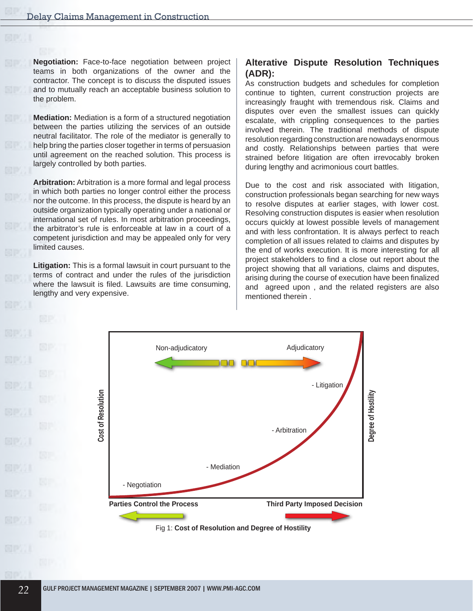**Negotiation:** Face-to-face negotiation between project teams in both organizations of the owner and the contractor. The concept is to discuss the disputed issues and to mutually reach an acceptable business solution to the problem.

**Mediation:** Mediation is a form of a structured negotiation between the parties utilizing the services of an outside neutral facilitator. The role of the mediator is generally to help bring the parties closer together in terms of persuasion until agreement on the reached solution. This process is largely controlled by both parties.

**Arbitration:** Arbitration is a more formal and legal process in which both parties no longer control either the process nor the outcome. In this process, the dispute is heard by an outside organization typically operating under a national or international set of rules. In most arbitration proceedings, the arbitrator's rule is enforceable at law in a court of a competent jurisdiction and may be appealed only for very limited causes.

**Litigation:** This is a formal lawsuit in court pursuant to the terms of contract and under the rules of the jurisdiction where the lawsuit is filed. Lawsuits are time consuming, lengthy and very expensive.

# **Alterative Dispute Resolution Techniques (ADR):**

As construction budgets and schedules for completion continue to tighten, current construction projects are increasingly fraught with tremendous risk. Claims and disputes over even the smallest issues can quickly escalate, with crippling consequences to the parties involved therein. The traditional methods of dispute resolution regarding construction are nowadays enormous and costly. Relationships between parties that were strained before litigation are often irrevocably broken during lengthy and acrimonious court battles.

Due to the cost and risk associated with litigation, construction professionals began searching for new ways to resolve disputes at earlier stages, with lower cost. Resolving construction disputes is easier when resolution occurs quickly at lowest possible levels of management and with less confrontation. It is always perfect to reach completion of all issues related to claims and disputes by the end of works execution. It is more interesting for all project stakeholders to find a close out report about the project showing that all variations, claims and disputes, arising during the course of execution have been finalized and agreed upon , and the related registers are also mentioned therein .